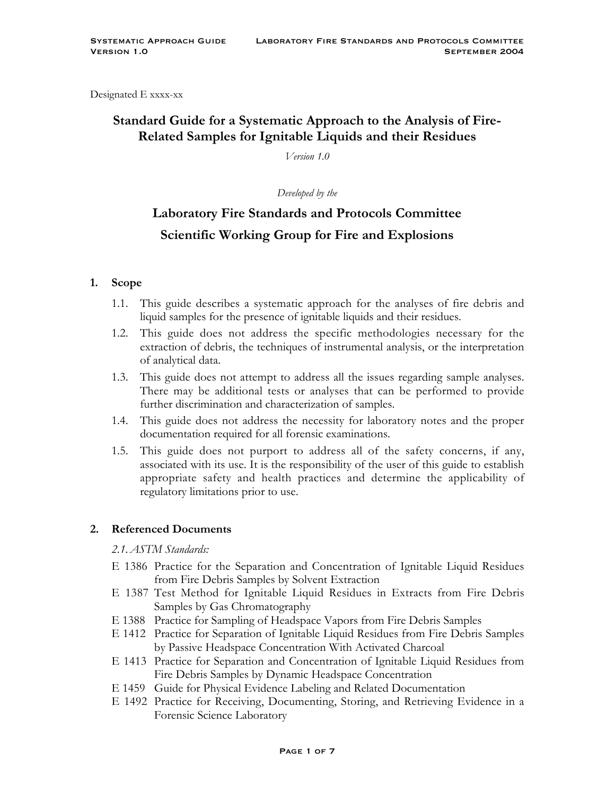Designated E xxxx-xx

# **Standard Guide for a Systematic Approach to the Analysis of Fire-Related Samples for Ignitable Liquids and their Residues**

*Version 1.0*

*Developed by the*

# **Laboratory Fire Standards and Protocols Committee Scientific Working Group for Fire and Explosions**

#### **1. Scope**

- 1.1. This guide describes a systematic approach for the analyses of fire debris and liquid samples for the presence of ignitable liquids and their residues.
- 1.2. This guide does not address the specific methodologies necessary for the extraction of debris, the techniques of instrumental analysis, or the interpretation of analytical data.
- 1.3. This guide does not attempt to address all the issues regarding sample analyses. There may be additional tests or analyses that can be performed to provide further discrimination and characterization of samples.
- 1.4. This guide does not address the necessity for laboratory notes and the proper documentation required for all forensic examinations.
- 1.5. This guide does not purport to address all of the safety concerns, if any, associated with its use. It is the responsibility of the user of this guide to establish appropriate safety and health practices and determine the applicability of regulatory limitations prior to use.

#### **2. Referenced Documents**

*2.1.ASTM Standards:*

- E 1386 Practice for the Separation and Concentration of Ignitable Liquid Residues from Fire Debris Samples by Solvent Extraction
- E 1387 Test Method for Ignitable Liquid Residues in Extracts from Fire Debris Samples by Gas Chromatography
- E 1388 Practice for Sampling of Headspace Vapors from Fire Debris Samples
- E 1412 Practice for Separation of Ignitable Liquid Residues from Fire Debris Samples by Passive Headspace Concentration With Activated Charcoal
- E 1413 Practice for Separation and Concentration of Ignitable Liquid Residues from Fire Debris Samples by Dynamic Headspace Concentration
- E 1459 Guide for Physical Evidence Labeling and Related Documentation
- E 1492 Practice for Receiving, Documenting, Storing, and Retrieving Evidence in a Forensic Science Laboratory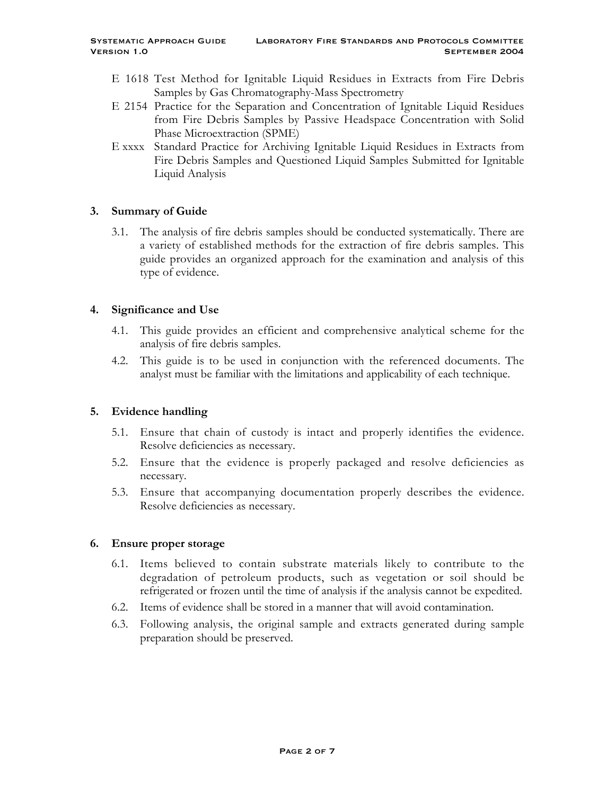- E 1618 Test Method for Ignitable Liquid Residues in Extracts from Fire Debris Samples by Gas Chromatography-Mass Spectrometry
- E 2154 Practice for the Separation and Concentration of Ignitable Liquid Residues from Fire Debris Samples by Passive Headspace Concentration with Solid Phase Microextraction (SPME)
- E xxxx Standard Practice for Archiving Ignitable Liquid Residues in Extracts from Fire Debris Samples and Questioned Liquid Samples Submitted for Ignitable Liquid Analysis

# **3. Summary of Guide**

3.1. The analysis of fire debris samples should be conducted systematically. There are a variety of established methods for the extraction of fire debris samples. This guide provides an organized approach for the examination and analysis of this type of evidence.

#### **4. Significance and Use**

- 4.1. This guide provides an efficient and comprehensive analytical scheme for the analysis of fire debris samples.
- 4.2. This guide is to be used in conjunction with the referenced documents. The analyst must be familiar with the limitations and applicability of each technique.

# **5. Evidence handling**

- 5.1. Ensure that chain of custody is intact and properly identifies the evidence. Resolve deficiencies as necessary.
- 5.2. Ensure that the evidence is properly packaged and resolve deficiencies as necessary.
- 5.3. Ensure that accompanying documentation properly describes the evidence. Resolve deficiencies as necessary.

# **6. Ensure proper storage**

- 6.1. Items believed to contain substrate materials likely to contribute to the degradation of petroleum products, such as vegetation or soil should be refrigerated or frozen until the time of analysis if the analysis cannot be expedited.
- 6.2. Items of evidence shall be stored in a manner that will avoid contamination.
- 6.3. Following analysis, the original sample and extracts generated during sample preparation should be preserved.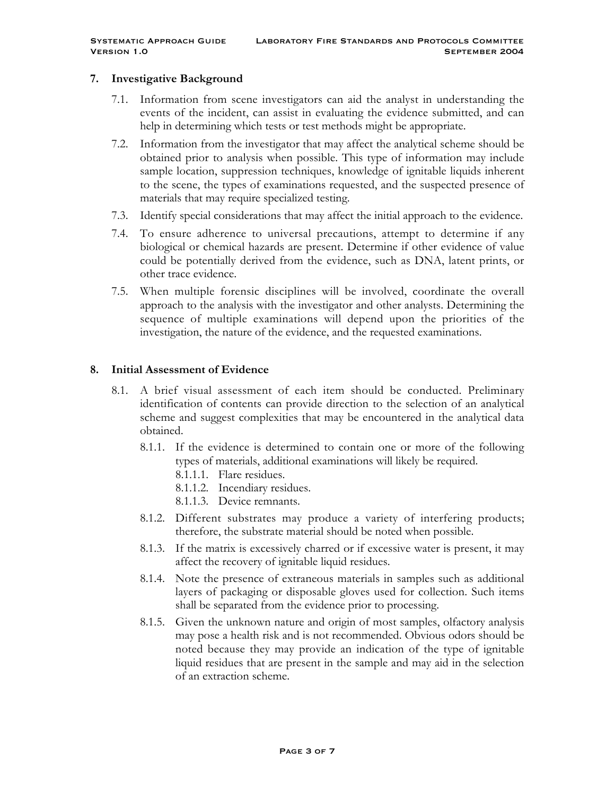#### **7. Investigative Background**

- 7.1. Information from scene investigators can aid the analyst in understanding the events of the incident, can assist in evaluating the evidence submitted, and can help in determining which tests or test methods might be appropriate.
- 7.2. Information from the investigator that may affect the analytical scheme should be obtained prior to analysis when possible. This type of information may include sample location, suppression techniques, knowledge of ignitable liquids inherent to the scene, the types of examinations requested, and the suspected presence of materials that may require specialized testing.
- 7.3. Identify special considerations that may affect the initial approach to the evidence.
- 7.4. To ensure adherence to universal precautions, attempt to determine if any biological or chemical hazards are present. Determine if other evidence of value could be potentially derived from the evidence, such as DNA, latent prints, or other trace evidence.
- 7.5. When multiple forensic disciplines will be involved, coordinate the overall approach to the analysis with the investigator and other analysts. Determining the sequence of multiple examinations will depend upon the priorities of the investigation, the nature of the evidence, and the requested examinations.

#### **8. Initial Assessment of Evidence**

- 8.1. A brief visual assessment of each item should be conducted. Preliminary identification of contents can provide direction to the selection of an analytical scheme and suggest complexities that may be encountered in the analytical data obtained.
	- 8.1.1. If the evidence is determined to contain one or more of the following types of materials, additional examinations will likely be required.
		- 8.1.1.1. Flare residues.
		- 8.1.1.2. Incendiary residues.
		- 8.1.1.3. Device remnants.
	- 8.1.2. Different substrates may produce a variety of interfering products; therefore, the substrate material should be noted when possible.
	- 8.1.3. If the matrix is excessively charred or if excessive water is present, it may affect the recovery of ignitable liquid residues.
	- 8.1.4. Note the presence of extraneous materials in samples such as additional layers of packaging or disposable gloves used for collection. Such items shall be separated from the evidence prior to processing.
	- 8.1.5. Given the unknown nature and origin of most samples, olfactory analysis may pose a health risk and is not recommended. Obvious odors should be noted because they may provide an indication of the type of ignitable liquid residues that are present in the sample and may aid in the selection of an extraction scheme.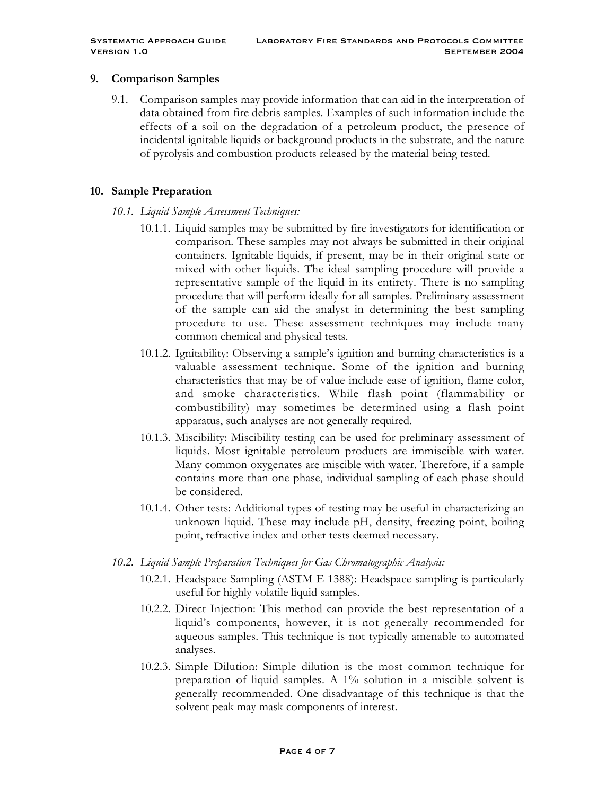#### **9. Comparison Samples**

9.1. Comparison samples may provide information that can aid in the interpretation of data obtained from fire debris samples. Examples of such information include the effects of a soil on the degradation of a petroleum product, the presence of incidental ignitable liquids or background products in the substrate, and the nature of pyrolysis and combustion products released by the material being tested.

#### **10. Sample Preparation**

- *10.1. Liquid Sample Assessment Techniques:*
	- 10.1.1. Liquid samples may be submitted by fire investigators for identification or comparison. These samples may not always be submitted in their original containers. Ignitable liquids, if present, may be in their original state or mixed with other liquids. The ideal sampling procedure will provide a representative sample of the liquid in its entirety. There is no sampling procedure that will perform ideally for all samples. Preliminary assessment of the sample can aid the analyst in determining the best sampling procedure to use. These assessment techniques may include many common chemical and physical tests.
	- 10.1.2. Ignitability: Observing a sample's ignition and burning characteristics is a valuable assessment technique. Some of the ignition and burning characteristics that may be of value include ease of ignition, flame color, and smoke characteristics. While flash point (flammability or combustibility) may sometimes be determined using a flash point apparatus, such analyses are not generally required.
	- 10.1.3. Miscibility: Miscibility testing can be used for preliminary assessment of liquids. Most ignitable petroleum products are immiscible with water. Many common oxygenates are miscible with water. Therefore, if a sample contains more than one phase, individual sampling of each phase should be considered.
	- 10.1.4. Other tests: Additional types of testing may be useful in characterizing an unknown liquid. These may include pH, density, freezing point, boiling point, refractive index and other tests deemed necessary.
- *10.2. Liquid Sample Preparation Techniques for Gas Chromatographic Analysis:*
	- 10.2.1. Headspace Sampling (ASTM E 1388): Headspace sampling is particularly useful for highly volatile liquid samples.
	- 10.2.2. Direct Injection: This method can provide the best representation of a liquid's components, however, it is not generally recommended for aqueous samples. This technique is not typically amenable to automated analyses.
	- 10.2.3. Simple Dilution: Simple dilution is the most common technique for preparation of liquid samples. A 1% solution in a miscible solvent is generally recommended. One disadvantage of this technique is that the solvent peak may mask components of interest.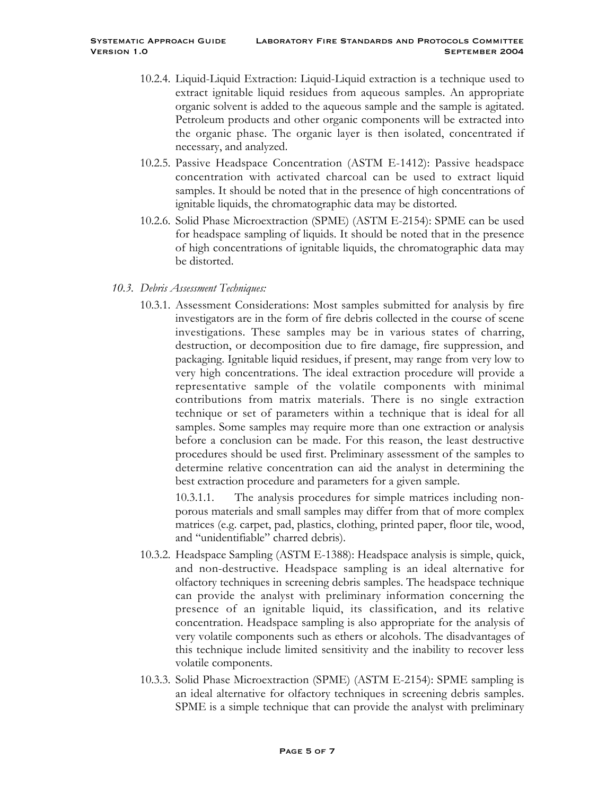- 10.2.4. Liquid-Liquid Extraction: Liquid-Liquid extraction is a technique used to extract ignitable liquid residues from aqueous samples. An appropriate organic solvent is added to the aqueous sample and the sample is agitated. Petroleum products and other organic components will be extracted into the organic phase. The organic layer is then isolated, concentrated if necessary, and analyzed.
- 10.2.5. Passive Headspace Concentration (ASTM E-1412): Passive headspace concentration with activated charcoal can be used to extract liquid samples. It should be noted that in the presence of high concentrations of ignitable liquids, the chromatographic data may be distorted.
- 10.2.6. Solid Phase Microextraction (SPME) (ASTM E-2154): SPME can be used for headspace sampling of liquids. It should be noted that in the presence of high concentrations of ignitable liquids, the chromatographic data may be distorted.

# *10.3. Debris Assessment Techniques:*

10.3.1. Assessment Considerations: Most samples submitted for analysis by fire investigators are in the form of fire debris collected in the course of scene investigations. These samples may be in various states of charring, destruction, or decomposition due to fire damage, fire suppression, and packaging. Ignitable liquid residues, if present, may range from very low to very high concentrations. The ideal extraction procedure will provide a representative sample of the volatile components with minimal contributions from matrix materials. There is no single extraction technique or set of parameters within a technique that is ideal for all samples. Some samples may require more than one extraction or analysis before a conclusion can be made. For this reason, the least destructive procedures should be used first. Preliminary assessment of the samples to determine relative concentration can aid the analyst in determining the best extraction procedure and parameters for a given sample.

10.3.1.1. The analysis procedures for simple matrices including nonporous materials and small samples may differ from that of more complex matrices (e.g. carpet, pad, plastics, clothing, printed paper, floor tile, wood, and "unidentifiable" charred debris).

- 10.3.2. Headspace Sampling (ASTM E-1388): Headspace analysis is simple, quick, and non-destructive. Headspace sampling is an ideal alternative for olfactory techniques in screening debris samples. The headspace technique can provide the analyst with preliminary information concerning the presence of an ignitable liquid, its classification, and its relative concentration. Headspace sampling is also appropriate for the analysis of very volatile components such as ethers or alcohols. The disadvantages of this technique include limited sensitivity and the inability to recover less volatile components.
- 10.3.3. Solid Phase Microextraction (SPME) (ASTM E-2154): SPME sampling is an ideal alternative for olfactory techniques in screening debris samples. SPME is a simple technique that can provide the analyst with preliminary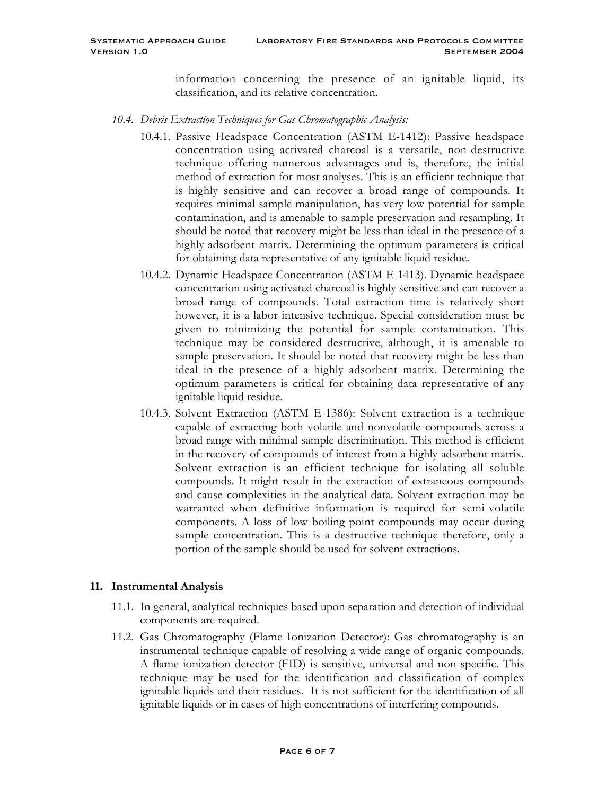information concerning the presence of an ignitable liquid, its classification, and its relative concentration.

- *10.4. Debris Extraction Techniques for Gas Chromatographic Analysis:*
	- 10.4.1. Passive Headspace Concentration (ASTM E-1412): Passive headspace concentration using activated charcoal is a versatile, non-destructive technique offering numerous advantages and is, therefore, the initial method of extraction for most analyses. This is an efficient technique that is highly sensitive and can recover a broad range of compounds. It requires minimal sample manipulation, has very low potential for sample contamination, and is amenable to sample preservation and resampling. It should be noted that recovery might be less than ideal in the presence of a highly adsorbent matrix. Determining the optimum parameters is critical for obtaining data representative of any ignitable liquid residue.
	- 10.4.2. Dynamic Headspace Concentration (ASTM E-1413). Dynamic headspace concentration using activated charcoal is highly sensitive and can recover a broad range of compounds. Total extraction time is relatively short however, it is a labor-intensive technique. Special consideration must be given to minimizing the potential for sample contamination. This technique may be considered destructive, although, it is amenable to sample preservation. It should be noted that recovery might be less than ideal in the presence of a highly adsorbent matrix. Determining the optimum parameters is critical for obtaining data representative of any ignitable liquid residue.
	- 10.4.3. Solvent Extraction (ASTM E-1386): Solvent extraction is a technique capable of extracting both volatile and nonvolatile compounds across a broad range with minimal sample discrimination. This method is efficient in the recovery of compounds of interest from a highly adsorbent matrix. Solvent extraction is an efficient technique for isolating all soluble compounds. It might result in the extraction of extraneous compounds and cause complexities in the analytical data. Solvent extraction may be warranted when definitive information is required for semi-volatile components. A loss of low boiling point compounds may occur during sample concentration. This is a destructive technique therefore, only a portion of the sample should be used for solvent extractions.

# **11. Instrumental Analysis**

- 11.1. In general, analytical techniques based upon separation and detection of individual components are required.
- 11.2. Gas Chromatography (Flame Ionization Detector): Gas chromatography is an instrumental technique capable of resolving a wide range of organic compounds. A flame ionization detector (FID) is sensitive, universal and non-specific. This technique may be used for the identification and classification of complex ignitable liquids and their residues. It is not sufficient for the identification of all ignitable liquids or in cases of high concentrations of interfering compounds.